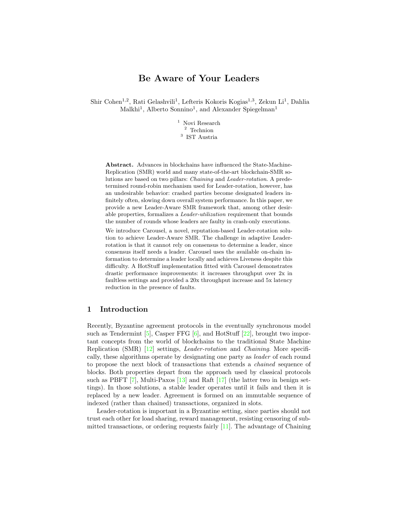# Be Aware of Your Leaders

Shir Cohen<sup>1,2</sup>, Rati Gelashvili<sup>1</sup>, Lefteris Kokoris Kogias<sup>1,3</sup>, Zekun Li<sup>1</sup>, Dahlia Malkhi<sup>1</sup>, Alberto Sonnino<sup>1</sup>, and Alexander Spiegelman<sup>1</sup>

> $^{\rm 1}$ Novi Research <sup>2</sup> Technion 3 IST Austria

Abstract. Advances in blockchains have influenced the State-Machine-Replication (SMR) world and many state-of-the-art blockchain-SMR solutions are based on two pillars: Chaining and Leader-rotation. A predetermined round-robin mechanism used for Leader-rotation, however, has an undesirable behavior: crashed parties become designated leaders infinitely often, slowing down overall system performance. In this paper, we provide a new Leader-Aware SMR framework that, among other desirable properties, formalizes a Leader-utilization requirement that bounds the number of rounds whose leaders are faulty in crash-only executions.

We introduce Carousel, a novel, reputation-based Leader-rotation solution to achieve Leader-Aware SMR. The challenge in adaptive Leaderrotation is that it cannot rely on consensus to determine a leader, since consensus itself needs a leader. Carousel uses the available on-chain information to determine a leader locally and achieves Liveness despite this difficulty. A HotStuff implementation fitted with Carousel demonstrates drastic performance improvements: it increases throughput over 2x in faultless settings and provided a 20x throughput increase and 5x latency reduction in the presence of faults.

## 1 Introduction

Recently, Byzantine agreement protocols in the eventually synchronous model such as Tendermint  $[5]$ , Casper FFG  $[6]$ , and HotStuff  $[22]$ , brought two important concepts from the world of blockchains to the traditional State Machine Replication (SMR) [\[12\]](#page-15-2) settings, Leader-rotation and Chaining. More specifically, these algorithms operate by designating one party as leader of each round to propose the next block of transactions that extends a chained sequence of blocks. Both properties depart from the approach used by classical protocols such as PBFT  $[7]$ , Multi-Paxos  $[13]$  and Raft  $[17]$  (the latter two in benign settings). In those solutions, a stable leader operates until it fails and then it is replaced by a new leader. Agreement is formed on an immutable sequence of indexed (rather than chained) transactions, organized in slots.

Leader-rotation is important in a Byzantine setting, since parties should not trust each other for load sharing, reward management, resisting censoring of submitted transactions, or ordering requests fairly [\[11\]](#page-15-6). The advantage of Chaining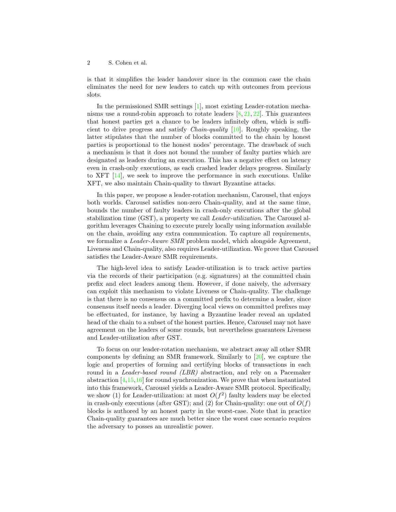is that it simplifies the leader handover since in the common case the chain eliminates the need for new leaders to catch up with outcomes from previous slots.

In the permissioned SMR settings [\[1\]](#page-15-7), most existing Leader-rotation mechanisms use a round-robin approach to rotate leaders  $[8, 21, 22]$  $[8, 21, 22]$  $[8, 21, 22]$  $[8, 21, 22]$  $[8, 21, 22]$ . This guarantees that honest parties get a chance to be leaders infinitely often, which is sufficient to drive progress and satisfy *Chain-quality*  $[10]$ . Roughly speaking, the latter stipulates that the number of blocks committed to the chain by honest parties is proportional to the honest nodes' percentage. The drawback of such a mechanism is that it does not bound the number of faulty parties which are designated as leaders during an execution. This has a negative effect on latency even in crash-only executions, as each crashed leader delays progress. Similarly to XFT [\[14\]](#page-15-10), we seek to improve the performance in such executions. Unlike XFT, we also maintain Chain-quality to thwart Byzantine attacks.

In this paper, we propose a leader-rotation mechanism, Carousel, that enjoys both worlds. Carousel satisfies non-zero Chain-quality, and at the same time, bounds the number of faulty leaders in crash-only executions after the global stabilization time (GST), a property we call Leader-utilization. The Carousel algorithm leverages Chaining to execute purely locally using information available on the chain, avoiding any extra communication. To capture all requirements, we formalize a Leader-Aware SMR problem model, which alongside Agreement, Liveness and Chain-quality, also requires Leader-utilization. We prove that Carousel satisfies the Leader-Aware SMR requirements.

The high-level idea to satisfy Leader-utilization is to track active parties via the records of their participation (e.g. signatures) at the committed chain prefix and elect leaders among them. However, if done naively, the adversary can exploit this mechanism to violate Liveness or Chain-quality. The challenge is that there is no consensus on a committed prefix to determine a leader, since consensus itself needs a leader. Diverging local views on committed prefixes may be effectuated, for instance, by having a Byzantine leader reveal an updated head of the chain to a subset of the honest parties. Hence, Carousel may not have agreement on the leaders of some rounds, but nevertheless guarantees Liveness and Leader-utilization after GST.

To focus on our leader-rotation mechanism, we abstract away all other SMR components by defining an SMR framework. Similarly to [\[20\]](#page-16-2), we capture the logic and properties of forming and certifying blocks of transactions in each round in a Leader-based round (LBR) abstraction, and rely on a Pacemaker abstraction  $[4,15,16]$  $[4,15,16]$  $[4,15,16]$  for round synchronization. We prove that when instantiated into this framework, Carousel yields a Leader-Aware SMR protocol. Specifically, we show (1) for Leader-utilization: at most  $O(f^2)$  faulty leaders may be elected in crash-only executions (after GST); and (2) for Chain-quality: one out of  $O(f)$ blocks is authored by an honest party in the worst-case. Note that in practice Chain-quality guarantees are much better since the worst case scenario requires the adversary to posses an unrealistic power.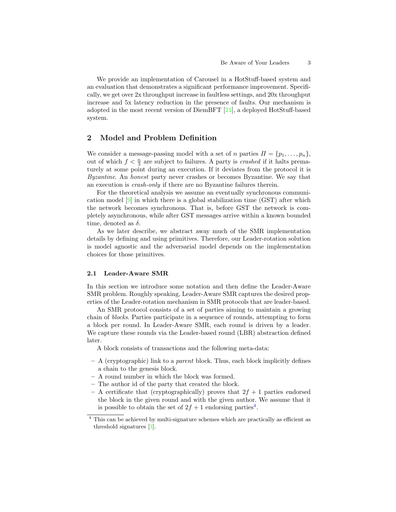We provide an implementation of Carousel in a HotStuff-based system and an evaluation that demonstrates a significant performance improvement. Specifically, we get over 2x throughput increase in faultless settings, and 20x throughput increase and 5x latency reduction in the presence of faults. Our mechanism is adopted in the most recent version of DiemBFT [\[21\]](#page-16-1), a deployed HotStuff-based system.

## 2 Model and Problem Definition

We consider a message-passing model with a set of n parties  $\Pi = \{p_1, \ldots, p_n\},\$ out of which  $f < \frac{n}{3}$  are subject to failures. A party is *crashed* if it halts prematurely at some point during an execution. If it deviates from the protocol it is Byzantine. An honest party never crashes or becomes Byzantine. We say that an execution is crash-only if there are no Byzantine failures therein.

For the theoretical analysis we assume an eventually synchronous communication model  $[9]$  in which there is a global stabilization time  $(GST)$  after which the network becomes synchronous. That is, before GST the network is completely asynchronous, while after GST messages arrive within a known bounded time, denoted as  $\delta$ .

As we later describe, we abstract away much of the SMR implementation details by defining and using primitives. Therefore, our Leader-rotation solution is model agnostic and the adversarial model depends on the implementation choices for those primitives.

#### 2.1 Leader-Aware SMR

In this section we introduce some notation and then define the Leader-Aware SMR problem. Roughly speaking, Leader-Aware SMR captures the desired properties of the Leader-rotation mechanism in SMR protocols that are leader-based.

An SMR protocol consists of a set of parties aiming to maintain a growing chain of blocks. Parties participate in a sequence of rounds, attempting to form a block per round. In Leader-Aware SMR, each round is driven by a leader. We capture these rounds via the Leader-based round (LBR) abstraction defined later.

A block consists of transactions and the following meta-data:

- $A$  (cryptographic) link to a *parent* block. Thus, each block implicitly defines a chain to the genesis block.
- A round number in which the block was formed.
- The author id of the party that created the block.
- A certificate that (cryptographically) proves that  $2f + 1$  parties endorsed the block in the given round and with the given author. We assume that it is possible to obtain the set of  $2f + 1$  endorsing parties<sup>[4](#page-2-0)</sup>.

<span id="page-2-0"></span><sup>4</sup> This can be achieved by multi-signature schemes which are practically as efficient as threshold signatures [\[3\]](#page-15-15).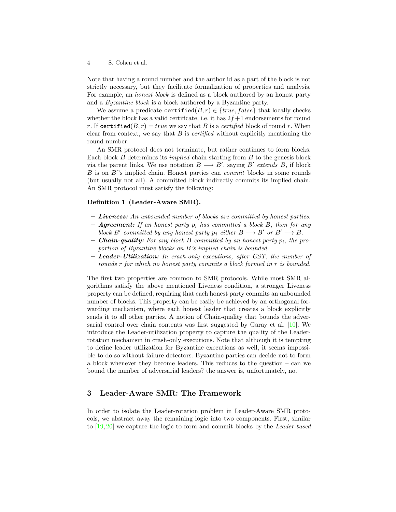Note that having a round number and the author id as a part of the block is not strictly necessary, but they facilitate formalization of properties and analysis. For example, an *honest block* is defined as a block authored by an honest party and a Byzantine block is a block authored by a Byzantine party.

We assume a predicate certified( $B, r$ )  $\in \{true, false\}$  that locally checks whether the block has a valid certificate, i.e. it has  $2f + 1$  endorsements for round r. If certified( $B, r$ ) = true we say that B is a certified block of round r. When clear from context, we say that  $B$  is *certified* without explicitly mentioning the round number.

An SMR protocol does not terminate, but rather continues to form blocks. Each block  $B$  determines its *implied* chain starting from  $B$  to the genesis block via the parent links. We use notation  $B \longrightarrow B'$ , saying B' extends B, if block  $B$  is on  $B'$ 's implied chain. Honest parties can *commit* blocks in some rounds (but usually not all). A committed block indirectly commits its implied chain. An SMR protocol must satisfy the following:

#### Definition 1 (Leader-Aware SMR).

- $-$  Liveness: An unbounded number of blocks are committed by honest parties.
- $-$  **Agreement:** If an honest party  $p_i$  has committed a block B, then for any block B' committed by any honest party  $p_j$  either  $B \longrightarrow B'$  or  $B' \longrightarrow B$ .
- **Chain-quality:** For any block B committed by an honest party  $p_i$ , the proportion of Byzantine blocks on B's implied chain is bounded.
- Leader-Utilization: In crash-only executions, after GST, the number of rounds r for which no honest party commits a block formed in r is bounded.

The first two properties are common to SMR protocols. While most SMR algorithms satisfy the above mentioned Liveness condition, a stronger Liveness property can be defined, requiring that each honest party commits an unbounded number of blocks. This property can be easily be achieved by an orthogonal forwarding mechanism, where each honest leader that creates a block explicitly sends it to all other parties. A notion of Chain-quality that bounds the adversarial control over chain contents was first suggested by Garay et al. [\[10\]](#page-15-9). We introduce the Leader-utilization property to capture the quality of the Leaderrotation mechanism in crash-only executions. Note that although it is tempting to define leader utilization for Byzantine executions as well, it seems impossible to do so without failure detectors. Byzantine parties can decide not to form a block whenever they become leaders. This reduces to the question – can we bound the number of adversarial leaders? the answer is, unfortunately, no.

# 3 Leader-Aware SMR: The Framework

In order to isolate the Leader-rotation problem in Leader-Aware SMR protocols, we abstract away the remaining logic into two components. First, similar to [\[19,](#page-16-3) [20\]](#page-16-2) we capture the logic to form and commit blocks by the Leader-based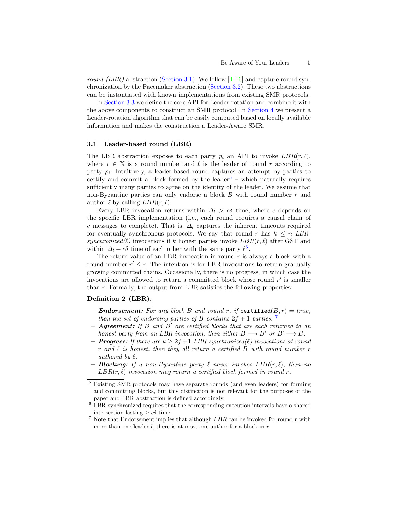round (LBR) abstraction [\(Section 3.1\)](#page-4-0). We follow [\[4,](#page-15-11)[16\]](#page-15-13) and capture round synchronization by the Pacemaker abstraction [\(Section 3.2\)](#page-5-0). These two abstractions can be instantiated with known implementations from existing SMR protocols.

In [Section 3.3](#page-5-1) we define the core API for Leader-rotation and combine it with the above components to construct an SMR protocol. In [Section 4](#page-6-0) we present a Leader-rotation algorithm that can be easily computed based on locally available information and makes the construction a Leader-Aware SMR.

#### <span id="page-4-0"></span>3.1 Leader-based round (LBR)

The LBR abstraction exposes to each party  $p_i$  an API to invoke  $LBR(r, \ell)$ , where  $r \in \mathbb{N}$  is a round number and  $\ell$  is the leader of round r according to party  $p_i$ . Intuitively, a leader-based round captures an attempt by parties to certify and commit a block formed by the leader<sup>[5](#page-4-1)</sup> – which naturally requires sufficiently many parties to agree on the identity of the leader. We assume that non-Byzantine parties can only endorse a block B with round number r and author  $\ell$  by calling  $LBR(r, \ell)$ .

Every LBR invocation returns within  $\Delta_l > c\delta$  time, where c depends on the specific LBR implementation (i.e., each round requires a causal chain of c messages to complete). That is,  $\Delta_l$  captures the inherent timeouts required for eventually synchronous protocols. We say that round r has  $k \leq n$  LBRsynchronized( $\ell$ ) invocations if k honest parties invoke  $LBR(r, \ell)$  after GST and within  $\Delta_l - c\delta$  time of each other with the same party  $\ell^6$  $\ell^6$ .

The return value of an LBR invocation in round  $r$  is always a block with a round number  $r' \leq r$ . The intention is for LBR invocations to return gradually growing committed chains. Occasionally, there is no progress, in which case the invocations are allowed to return a committed block whose round  $r'$  is smaller than  $r$ . Formally, the output from LBR satisfies the following properties:

#### Definition 2 (LBR).

- Endorsement: For any block B and round r, if certified( $B, r$ ) = true, then the set of endorsing parties of B contains  $2f + 1$  parties.
- $-$  **Agreement:** If B and B' are certified blocks that are each returned to an honest party from an LBR invocation, then either  $B \longrightarrow B'$  or  $B' \longrightarrow B$ .
- **Progress:** If there are  $k \geq 2f + 1$  LBR-synchronized( $\ell$ ) invocations at round r and  $\ell$  is honest, then they all return a certified B with round number r authored by  $\ell$ .
- **Blocking:** If a non-Byzantine party  $\ell$  never invokes  $LBR(r, \ell)$ , then no  $LBR(r, \ell)$  invocation may return a certified block formed in round r.
- <span id="page-4-1"></span><sup>5</sup> Existing SMR protocols may have separate rounds (and even leaders) for forming and committing blocks, but this distinction is not relevant for the purposes of the paper and LBR abstraction is defined accordingly.
- <span id="page-4-2"></span> $^6$  LBR-synchronized requires that the corresponding execution intervals have a shared intersection lasting  $\geq c\delta$  time.
- <span id="page-4-3"></span><sup>7</sup> Note that Endorsement implies that although  $LBR$  can be invoked for round r with more than one leader  $l$ , there is at most one author for a block in  $r$ .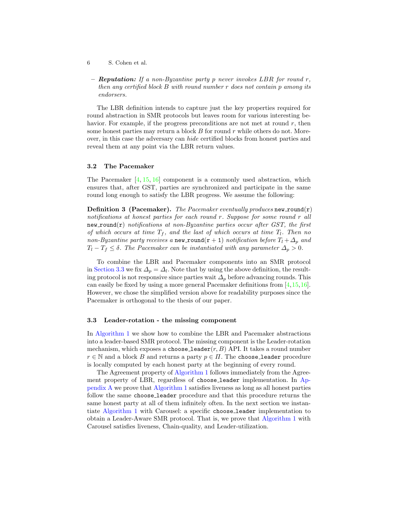- 6 S. Cohen et al.
- $-$  **Reputation:** If a non-Byzantine party p never invokes LBR for round  $r$ , then any certified block B with round number r does not contain p among its endorsers.

The LBR definition intends to capture just the key properties required for round abstraction in SMR protocols but leaves room for various interesting behavior. For example, if the progress preconditions are not met at round  $r$ , then some honest parties may return a block  $B$  for round  $r$  while others do not. Moreover, in this case the adversary can hide certified blocks from honest parties and reveal them at any point via the LBR return values.

#### <span id="page-5-0"></span>3.2 The Pacemaker

The Pacemaker [\[4,](#page-15-11) [15,](#page-15-12) [16\]](#page-15-13) component is a commonly used abstraction, which ensures that, after GST, parties are synchronized and participate in the same round long enough to satisfy the LBR progress. We assume the following:

**Definition 3 (Pacemaker).** The Pacemaker eventually produces  $new\_round(r)$ notifications at honest parties for each round r. Suppose for some round r all new round(r) notifications at non-Byzantine parties occur after GST, the first of which occurs at time  $T_f$ , and the last of which occurs at time  $T_l$ . Then no non-Byzantine party receives a new round(r + 1) notification before  $T_l + \Delta_p$  and  $T_l - T_f \leq \delta$ . The Pacemaker can be instantiated with any parameter  $\Delta_p > 0$ .

To combine the LBR and Pacemaker components into an SMR protocol in [Section 3.3](#page-5-1) we fix  $\Delta_p = \Delta_l$ . Note that by using the above definition, the resulting protocol is not responsive since parties wait  $\Delta_p$  before advancing rounds. This can easily be fixed by using a more general Pacemaker definitions from [\[4,](#page-15-11)[15,](#page-15-12)[16\]](#page-15-13). However, we chose the simplified version above for readability purposes since the Pacemaker is orthogonal to the thesis of our paper.

#### <span id="page-5-1"></span>3.3 Leader-rotation - the missing component

In [Algorithm 1](#page-6-1) we show how to combine the LBR and Pacemaker abstractions into a leader-based SMR protocol. The missing component is the Leader-rotation mechanism, which exposes a choose leader $(r, B)$  API. It takes a round number  $r \in \mathbb{N}$  and a block B and returns a party  $p \in \Pi$ . The choose leader procedure is locally computed by each honest party at the beginning of every round.

The Agreement property of [Algorithm 1](#page-6-1) follows immediately from the Agreement property of LBR, regardless of choose leader implementation. In [Ap](#page-17-0)[pendix A](#page-17-0) we prove that [Algorithm 1](#page-6-1) satisfies liveness as long as all honest parties follow the same choose leader procedure and that this procedure returns the same honest party at all of them infinitely often. In the next section we instantiate [Algorithm 1](#page-6-1) with Carousel: a specific choose leader implementation to obtain a Leader-Aware SMR protocol. That is, we prove that [Algorithm 1](#page-6-1) with Carousel satisfies liveness, Chain-quality, and Leader-utilization.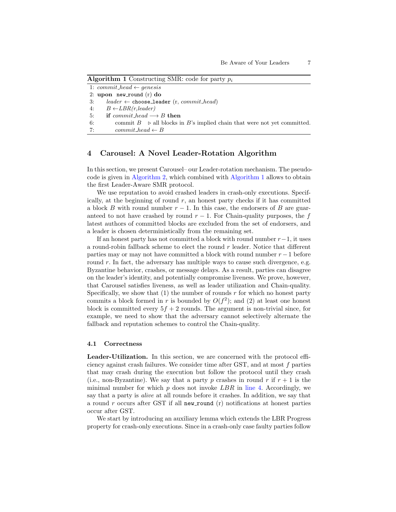<span id="page-6-3"></span><span id="page-6-2"></span><span id="page-6-1"></span>

| <b>Algorithm 1</b> Constructing SMR: code for party $p_i$ |                                                                                     |  |  |
|-----------------------------------------------------------|-------------------------------------------------------------------------------------|--|--|
|                                                           | 1: $commit\_head \leftarrow qeness$                                                 |  |  |
|                                                           | 2: upon new_round $(r)$ do                                                          |  |  |
| 3:                                                        | $leader \leftarrow \text{choose\_leader}(r, commit\_head)$                          |  |  |
| 4:                                                        | $B \leftarrow LBR(r, leader)$                                                       |  |  |
| 5:                                                        | if commit_head $\longrightarrow B$ then                                             |  |  |
| 6:                                                        | commit $B \rightarrow$ all blocks in B's implied chain that were not yet committed. |  |  |
| 7:                                                        | $commit\_head \leftarrow B$                                                         |  |  |

# <span id="page-6-5"></span><span id="page-6-4"></span><span id="page-6-0"></span>4 Carousel: A Novel Leader-Rotation Algorithm

In this section, we present Carousel– our Leader-rotation mechanism. The pseudocode is given in [Algorithm 2,](#page-7-0) which combined with [Algorithm 1](#page-6-1) allows to obtain the first Leader-Aware SMR protocol.

We use reputation to avoid crashed leaders in crash-only executions. Specifically, at the beginning of round  $r$ , an honest party checks if it has committed a block B with round number  $r - 1$ . In this case, the endorsers of B are guaranteed to not have crashed by round  $r - 1$ . For Chain-quality purposes, the f latest authors of committed blocks are excluded from the set of endorsers, and a leader is chosen deterministically from the remaining set.

If an honest party has not committed a block with round number  $r-1$ , it uses a round-robin fallback scheme to elect the round  $r$  leader. Notice that different parties may or may not have committed a block with round number  $r - 1$  before round  $r$ . In fact, the adversary has multiple ways to cause such divergence, e.g. Byzantine behavior, crashes, or message delays. As a result, parties can disagree on the leader's identity, and potentially compromise liveness. We prove, however, that Carousel satisfies liveness, as well as leader utilization and Chain-quality. Specifically, we show that  $(1)$  the number of rounds r for which no honest party commits a block formed in r is bounded by  $O(f^2)$ ; and (2) at least one honest block is committed every  $5f + 2$  rounds. The argument is non-trivial since, for example, we need to show that the adversary cannot selectively alternate the fallback and reputation schemes to control the Chain-quality.

#### 4.1 Correctness

Leader-Utilization. In this section, we are concerned with the protocol efficiency against crash failures. We consider time after GST, and at most f parties that may crash during the execution but follow the protocol until they crash (i.e., non-Byzantine). We say that a party p crashes in round r if  $r + 1$  is the minimal number for which  $p$  does not invoke  $LBR$  in [line 4.](#page-6-2) Accordingly, we say that a party is alive at all rounds before it crashes. In addition, we say that a round  $r$  occurs after GST if all new round  $(r)$  notifications at honest parties occur after GST.

We start by introducing an auxiliary lemma which extends the LBR Progress property for crash-only executions. Since in a crash-only case faulty parties follow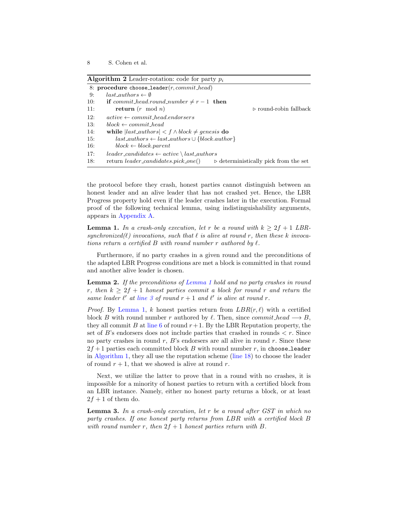<span id="page-7-4"></span><span id="page-7-0"></span>

| <b>Algorithm 2</b> Leader-rotation: code for party $p_i$ |                                                                                                     |  |  |
|----------------------------------------------------------|-----------------------------------------------------------------------------------------------------|--|--|
|                                                          | 8: procedure choose_leader( $r, commit\_head$ )                                                     |  |  |
| 9:                                                       | $last\_authors \leftarrow \emptyset$                                                                |  |  |
| 10:                                                      | if commit_head.round_number $\neq r-1$ then                                                         |  |  |
| 11:                                                      | $\triangleright$ round-robin fallback<br>return $(r \mod n)$                                        |  |  |
| 12:                                                      | $active \leftarrow commit\ head.endorsers$                                                          |  |  |
| 13:                                                      | $block \leftarrow commit\_head$                                                                     |  |  |
| 14:                                                      | while $ last_authors  < f \wedge block \neq qeness$ do                                              |  |  |
| 15:                                                      | $last\_authors \leftarrow last\_authors \cup \{block.author\}$                                      |  |  |
| 16:                                                      | $block \leftarrow block.parent$                                                                     |  |  |
| 17:                                                      | $leader\_candidates \leftarrow active \setminus last\_authors$                                      |  |  |
| 18:                                                      | return <i>leader_candidates.pick_one</i> ()<br>$\triangleright$ deterministically pick from the set |  |  |

<span id="page-7-2"></span>the protocol before they crash, honest parties cannot distinguish between an honest leader and an alive leader that has not crashed yet. Hence, the LBR Progress property hold even if the leader crashes later in the execution. Formal proof of the following technical lemma, using indistinguishability arguments, appears in [Appendix A.](#page-17-0)

<span id="page-7-1"></span>**Lemma 1.** In a crash-only execution, let r be a round with  $k \ge 2f + 1$  LBRsynchronized( $\ell$ ) invocations, such that  $\ell$  is alive at round r, then these k invocations return a certified B with round number r authored by  $\ell$ .

Furthermore, if no party crashes in a given round and the preconditions of the adapted LBR Progress conditions are met a block is committed in that round and another alive leader is chosen.

<span id="page-7-5"></span>**Lemma 2.** If the preconditions of [Lemma 1](#page-7-1) hold and no party crashes in round r, then  $k \geq 2f + 1$  honest parties commit a block for round r and return the same leader  $\ell'$  at [line 3](#page-6-3) of round  $r + 1$  and  $\ell'$  is alive at round r.

*Proof.* By [Lemma 1,](#page-7-1) k honest parties return from  $LBR(r, \ell)$  with a certified block B with round number r authored by  $\ell$ . Then, since commit head  $\longrightarrow B$ , they all commit B at [line 6](#page-6-4) of round  $r+1$ . By the LBR Reputation property, the set of B's endorsers does not include parties that crashed in rounds  $\lt r$ . Since no party crashes in round  $r$ ,  $B$ 's endorsers are all alive in round  $r$ . Since these  $2f + 1$  parties each committed block B with round number r, in choose leader in [Algorithm 1,](#page-6-1) they all use the reputation scheme [\(line 18\)](#page-7-2) to choose the leader of round  $r + 1$ , that we showed is alive at round r.

Next, we utilize the latter to prove that in a round with no crashes, it is impossible for a minority of honest parties to return with a certified block from an LBR instance. Namely, either no honest party returns a block, or at least  $2f + 1$  of them do.

<span id="page-7-3"></span>**Lemma 3.** In a crash-only execution, let r be a round after  $GST$  in which no party crashes. If one honest party returns from LBR with a certified block B with round number r, then  $2f + 1$  honest parties return with B.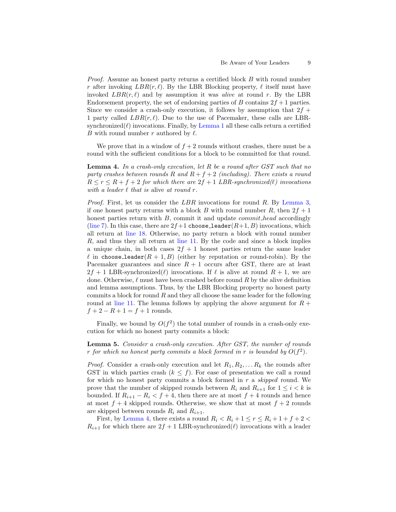Proof. Assume an honest party returns a certified block B with round number r after invoking  $LBR(r, \ell)$ . By the LBR Blocking property,  $\ell$  itself must have invoked  $LBR(r, \ell)$  and by assumption it was *alive* at round r. By the LBR Endorsement property, the set of endorsing parties of B contains  $2f + 1$  parties. Since we consider a crash-only execution, it follows by assumption that  $2f +$ 1 party called  $LBR(r, \ell)$ . Due to the use of Pacemaker, these calls are LBRsynchronized( $\ell$ ) invocations. Finally, by [Lemma 1](#page-7-1) all these calls return a certified B with round number r authored by  $\ell$ .

We prove that in a window of  $f + 2$  rounds without crashes, there must be a round with the sufficient conditions for a block to be committed for that round.

<span id="page-8-0"></span>**Lemma 4.** In a crash-only execution, let  $R$  be a round after  $GST$  such that no party crashes between rounds R and  $R + f + 2$  (including). There exists a round  $R \le r \le R + f + 2$  for which there are  $2f + 1$  LBR-synchronized( $\ell$ ) invocations with a leader  $\ell$  that is alive at round r.

*Proof.* First, let us consider the  $LBR$  invocations for round R. By [Lemma 3,](#page-7-3) if one honest party returns with a block B with round number R, then  $2f + 1$ honest parties return with B, commit it and update *commit head* accordingly [\(line 7\)](#page-6-5). In this case, there are  $2f+1$  choose leader( $R+1, B$ ) invocations, which all return at [line 18.](#page-7-2) Otherwise, no party return a block with round number R, and thus they all return at [line 11.](#page-7-4) By the code and since a block implies a unique chain, in both cases  $2f + 1$  honest parties return the same leader l in choose leader $(R + 1, B)$  (either by reputation or round-robin). By the Pacemaker guarantees and since  $R + 1$  occurs after GST, there are at least  $2f + 1$  LBR-synchronized( $\ell$ ) invocations. If  $\ell$  is alive at round  $R + 1$ , we are done. Otherwise,  $\ell$  must have been crashed before round R by the alive definition and lemma assumptions. Thus, by the LBR Blocking property no honest party commits a block for round  $R$  and they all choose the same leader for the following round at [line 11.](#page-7-4) The lemma follows by applying the above argument for  $R +$  $f + 2 - R + 1 = f + 1$  rounds.

Finally, we bound by  $O(f^2)$  the total number of rounds in a crash-only execution for which no honest party commits a block:

Lemma 5. Consider a crash-only execution. After GST, the number of rounds r for which no honest party commits a block formed in r is bounded by  $O(f^2)$ .

*Proof.* Consider a crash-only execution and let  $R_1, R_2, \ldots, R_k$  the rounds after GST in which parties crash  $(k \leq f)$ . For ease of presentation we call a round for which no honest party commits a block formed in  $r$  a skipped round. We prove that the number of skipped rounds between  $R_i$  and  $R_{i+1}$  for  $1 \leq i \leq k$  is bounded. If  $R_{i+1} - R_i < f + 4$ , then there are at most  $f + 4$  rounds and hence at most  $f + 4$  skipped rounds. Otherwise, we show that at most  $f + 2$  rounds are skipped between rounds  $R_i$  and  $R_{i+1}$ .

First, by [Lemma 4,](#page-8-0) there exists a round  $R_i < R_i + 1 \le r \le R_i + 1 + f + 2$  $R_{i+1}$  for which there are  $2f + 1$  LBR-synchronized( $\ell$ ) invocations with a leader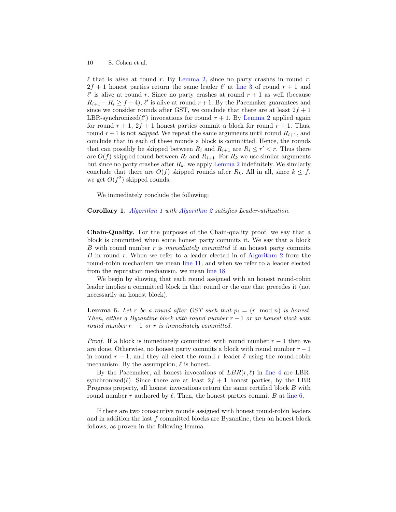$\ell$  that is alive at round r. By [Lemma 2,](#page-7-5) since no party crashes in round r,  $2f + 1$  honest parties return the same leader  $\ell'$  at [line 3](#page-6-3) of round  $r + 1$  and  $\ell'$  is alive at round r. Since no party crashes at round  $r + 1$  as well (because  $R_{i+1} - R_i \ge f + 4$ ,  $\ell'$  is alive at round  $r + 1$ . By the Pacemaker guarantees and since we consider rounds after GST, we conclude that there are at least  $2f + 1$ LBR-synchronized( $\ell'$ ) invocations for round  $r + 1$ . By [Lemma 2](#page-7-5) applied again for round  $r + 1$ ,  $2f + 1$  honest parties commit a block for round  $r + 1$ . Thus, round  $r+1$  is not *skipped*. We repeat the same arguments until round  $R_{i+1}$ , and conclude that in each of these rounds a block is committed. Hence, the rounds that can possibly be skipped between  $R_i$  and  $R_{i+1}$  are  $R_i \leq r' < r$ . Thus there are  $O(f)$  skipped round between  $R_i$  and  $R_{i+1}$ . For  $R_k$  we use similar arguments but since no party crashes after  $R_k$ , we apply [Lemma 2](#page-7-5) indefinitely. We similarly conclude that there are  $O(f)$  skipped rounds after  $R_k$ . All in all, since  $k \leq f$ , we get  $O(f^2)$  skipped rounds.

We immediately conclude the following:

<span id="page-9-2"></span>Corollary 1. [Algorithm 1](#page-6-1) with [Algorithm 2](#page-7-0) satisfies Leader-utilization.

Chain-Quality. For the purposes of the Chain-quality proof, we say that a block is committed when some honest party commits it. We say that a block B with round number  $r$  is *immediately committed* if an honest party commits B in round r. When we refer to a leader elected in of [Algorithm 2](#page-7-0) from the round-robin mechanism we mean [line 11,](#page-7-4) and when we refer to a leader elected from the reputation mechanism, we mean [line 18.](#page-7-2)

We begin by showing that each round assigned with an honest round-robin leader implies a committed block in that round or the one that precedes it (not necessarily an honest block).

<span id="page-9-0"></span>**Lemma 6.** Let r be a round after GST such that  $p_i = (r \mod n)$  is honest. Then, either a Byzantine block with round number  $r-1$  or an honest block with round number  $r - 1$  or r is immediately committed.

*Proof.* If a block is immediately committed with round number  $r - 1$  then we are done. Otherwise, no honest party commits a block with round number  $r - 1$ in round  $r - 1$ , and they all elect the round r leader  $\ell$  using the round-robin mechanism. By the assumption,  $\ell$  is honest.

By the Pacemaker, all honest invocations of  $LBR(r, \ell)$  in [line 4](#page-6-2) are LBRsynchronized( $\ell$ ). Since there are at least  $2f + 1$  honest parties, by the LBR Progress property, all honest invocations return the same certified block B with round number r authored by  $\ell$ . Then, the honest parties commit B at [line 6.](#page-6-4)

<span id="page-9-1"></span>If there are two consecutive rounds assigned with honest round-robin leaders and in addition the last  $f$  committed blocks are Byzantine, then an honest block follows, as proven in the following lemma.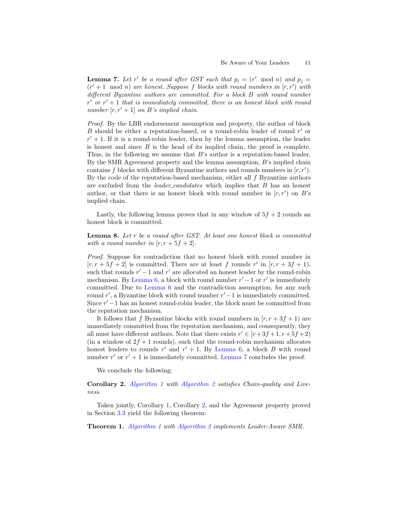**Lemma 7.** Let r' be a round after GST such that  $p_i = (r' \mod n)$  and  $p_j =$  $(r' + 1 \mod n)$  are honest. Suppose f blocks with round numbers in  $[r, r')$  with different Byzantine authors are committed. For a block B with round number  $r'$  or  $r' + 1$  that is immediately committed, there is an honest block with round number  $[r, r' + 1]$  on B's implied chain.

Proof. By the LBR endorsement assumption and property, the author of block  $B$  should be either a reputation-based, or a round-robin leader of round  $r'$  or  $r' + 1$ . If it is a round-robin leader, then by the lemma assumption, the leader is honest and since  $B$  is the head of its implied chain, the proof is complete. Thus, in the following we assume that B's author is a reputation-based leader. By the SMR Agreement property and the lemma assumption, B's implied chain contains f blocks with different Byzantine authors and rounds numbers in  $[r, r']$ . By the code of the reputation-based mechanism, either all  $f$  Byzantine authors are excluded from the *leader-candidates* which implies that B has an honest author, or that there is an honest block with round number in  $[r, r')$  on B's implied chain.

Lastly, the following lemma proves that in any window of  $5f + 2$  rounds an honest block is committed.

Lemma 8. Let r be a round after GST. At least one honest block is committed with a round number in  $[r, r+5f+2]$ .

Proof. Suppose for contradiction that no honest block with round number in  $[r, r+5f+2]$  is committed. There are at least f rounds r' in  $[r, r+3f+1]$ , such that rounds  $r' - 1$  and  $r'$  are allocated an honest leader by the round-robin mechanism. By [Lemma 6,](#page-9-0) a block with round number  $r' - 1$  or  $r'$  is immediately committed. Due to [Lemma 6](#page-9-0) and the contradiction assumption, for any such round r', a Byzantine block with round number  $r'-1$  is immediately committed. Since  $r'-1$  has an honest round-robin leader, the block must be committed from the reputation mechanism.

It follows that f Byzantine blocks with round numbers in  $[r, r+3f+1]$  are immediately committed from the reputation mechanism, and consequently, they all must have different authors. Note that there exists  $r' \in [r+3f+1, r+5f+2)$ (in a window of  $2f + 1$  rounds), such that the round-robin mechanism allocates honest leaders to rounds  $r'$  and  $r' + 1$ . By [Lemma 6,](#page-9-0) a block B with round number  $r'$  or  $r' + 1$  is immediately committed. [Lemma 7](#page-9-1) concludes the proof.

We conclude the following:

<span id="page-10-0"></span>Corollary 2. [Algorithm 1](#page-6-1) with [Algorithm 2](#page-7-0) satisfies Chain-quality and Liveness.

Taken jointly, Corollary [1,](#page-9-2) Corollary [2,](#page-10-0) and the Agreement property proved in Section [3.3](#page-5-1) yield the following theorem:

Theorem 1. [Algorithm 1](#page-6-1) with [Algorithm 2](#page-7-0) implements Leader-Aware SMR.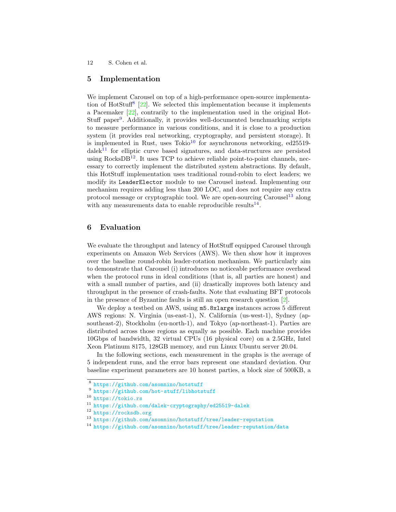# 5 Implementation

We implement Carousel on top of a high-performance open-source implementa-tion of HotStuff<sup>[8](#page-11-0)</sup> [\[22\]](#page-16-0). We selected this implementation because it implements a Pacemaker [\[22\]](#page-16-0), contrarily to the implementation used in the original Hot-Stuff paper<sup>[9](#page-11-1)</sup>. Additionally, it provides well-documented benchmarking scripts to measure performance in various conditions, and it is close to a production system (it provides real networking, cryptography, and persistent storage). It is implemented in Rust, uses  $Tokio<sup>10</sup>$  $Tokio<sup>10</sup>$  $Tokio<sup>10</sup>$  for asynchronous networking, ed25519- $dalek^{11}$  $dalek^{11}$  $dalek^{11}$  for elliptic curve based signatures, and data-structures are persisted using Rocks $DB^{12}$  $DB^{12}$  $DB^{12}$ . It uses TCP to achieve reliable point-to-point channels, necessary to correctly implement the distributed system abstractions. By default, this HotStuff implementation uses traditional round-robin to elect leaders; we modify its LeaderElector module to use Carousel instead. Implementing our mechanism requires adding less than 200 LOC, and does not require any extra protocol message or cryptographic tool. We are open-sourcing  $C$ arousel<sup>[13](#page-11-5)</sup> along with any measurements data to enable reproducible results $^{14}$  $^{14}$  $^{14}$ .

### 6 Evaluation

We evaluate the throughput and latency of HotStuff equipped Carousel through experiments on Amazon Web Services (AWS). We then show how it improves over the baseline round-robin leader-rotation mechanism. We particularly aim to demonstrate that Carousel (i) introduces no noticeable performance overhead when the protocol runs in ideal conditions (that is, all parties are honest) and with a small number of parties, and (ii) drastically improves both latency and throughput in the presence of crash-faults. Note that evaluating BFT protocols in the presence of Byzantine faults is still an open research question [\[2\]](#page-15-16).

We deploy a testbed on AWS, using m5.8xlarge instances across 5 different AWS regions: N. Virginia (us-east-1), N. California (us-west-1), Sydney (apsoutheast-2), Stockholm (eu-north-1), and Tokyo (ap-northeast-1). Parties are distributed across those regions as equally as possible. Each machine provides 10Gbps of bandwidth, 32 virtual CPUs (16 physical core) on a 2.5GHz, Intel Xeon Platinum 8175, 128GB memory, and run Linux Ubuntu server 20.04.

In the following sections, each measurement in the graphs is the average of 5 independent runs, and the error bars represent one standard deviation. Our baseline experiment parameters are 10 honest parties, a block size of 500KB, a

<span id="page-11-1"></span><span id="page-11-0"></span><sup>8</sup> <https://github.com/asonnino/hotstuff>

<sup>9</sup> <https://github.com/hot-stuff/libhotstuff>

<span id="page-11-2"></span><sup>10</sup> <https://tokio.rs>

<span id="page-11-3"></span><sup>11</sup> <https://github.com/dalek-cryptography/ed25519-dalek>

<span id="page-11-4"></span><sup>12</sup> <https://rocksdb.org>

<span id="page-11-5"></span><sup>13</sup> <https://github.com/asonnino/hotstuff/tree/leader-reputation>

<span id="page-11-6"></span><sup>14</sup> <https://github.com/asonnino/hotstuff/tree/leader-reputation/data>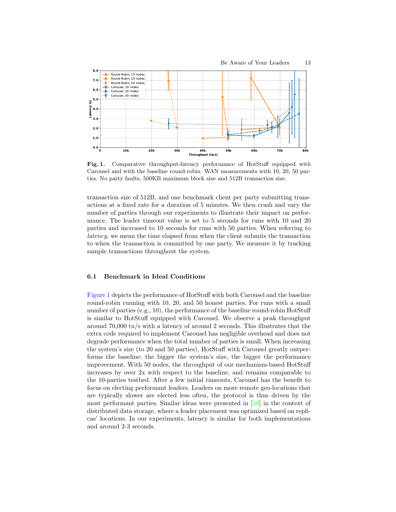

<span id="page-12-0"></span>Fig. 1. Comparative throughput-latency performance of HotStuff equipped with Carousel and with the baseline round-robin. WAN measurements with 10, 20, 50 parties. No party faults, 500KB maximum block size and 512B transaction size.

transaction size of 512B, and one benchmark client per party submitting transactions at a fixed rate for a duration of 5 minutes. We then crash and vary the number of parties through our experiments to illustrate their impact on performance. The leader timeout value is set to 5 seconds for runs with 10 and 20 parties and increased to 10 seconds for runs with 50 parties. When referring to latency, we mean the time elapsed from when the client submits the transaction to when the transaction is committed by one party. We measure it by tracking sample transactions throughout the system.

#### 6.1 Benchmark in Ideal Conditions

[Figure 1](#page-12-0) depicts the performance of HotStuff with both Carousel and the baseline round-robin running with 10, 20, and 50 honest parties. For runs with a small number of parties (e.g., 10), the performance of the baseline round-robin HotStuff is similar to HotStuff equipped with Carousel. We observe a peak throughput around 70,000 tx/s with a latency of around 2 seconds. This illustrates that the extra code required to implement Carousel has negligible overhead and does not degrade performance when the total number of parties is small. When increasing the system's size (to 20 and 50 parties), HotStuff with Carousel greatly outperforms the baseline: the bigger the system's size, the bigger the performance improvement. With 50 nodes, the throughput of our mechanism-based HotStuff increases by over 2x with respect to the baseline, and remains comparable to the 10-parties testbed. After a few initial timeouts, Carousel has the benefit to focus on electing performant leaders. Leaders on more remote geo-locations that are typically slower are elected less often, the protocol is thus driven by the most performant parties. Similar ideas were presented in [\[18\]](#page-15-17) in the context of distributed data storage, where a leader placement was optimized based on replicas' locations. In our experiments, latency is similar for both implementations and around 2-3 seconds.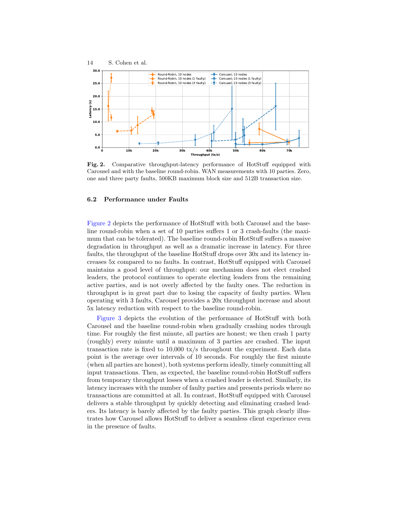

<span id="page-13-0"></span>Fig. 2. Comparative throughput-latency performance of HotStuff equipped with Carousel and with the baseline round-robin. WAN measurements with 10 parties. Zero, one and three party faults, 500KB maximum block size and 512B transaction size.

#### 6.2 Performance under Faults

[Figure 2](#page-13-0) depicts the performance of HotStuff with both Carousel and the baseline round-robin when a set of 10 parties suffers 1 or 3 crash-faults (the maximum that can be tolerated). The baseline round-robin HotStuff suffers a massive degradation in throughput as well as a dramatic increase in latency. For three faults, the throughput of the baseline HotStuff drops over 30x and its latency increases 5x compared to no faults. In contrast, HotStuff equipped with Carousel maintains a good level of throughput: our mechanism does not elect crashed leaders, the protocol continues to operate electing leaders from the remaining active parties, and is not overly affected by the faulty ones. The reduction in throughput is in great part due to losing the capacity of faulty parties. When operating with 3 faults, Carousel provides a 20x throughput increase and about 5x latency reduction with respect to the baseline round-robin.

[Figure 3](#page-14-0) depicts the evolution of the performance of HotStuff with both Carousel and the baseline round-robin when gradually crashing nodes through time. For roughly the first minute, all parties are honest; we then crash 1 party (roughly) every minute until a maximum of 3 parties are crashed. The input transaction rate is fixed to 10,000 tx/s throughout the experiment. Each data point is the average over intervals of 10 seconds. For roughly the first minute (when all parties are honest), both systems perform ideally, timely committing all input transactions. Then, as expected, the baseline round-robin HotStuff suffers from temporary throughput losses when a crashed leader is elected. Similarly, its latency increases with the number of faulty parties and presents periods where no transactions are committed at all. In contrast, HotStuff equipped with Carousel delivers a stable throughput by quickly detecting and eliminating crashed leaders. Its latency is barely affected by the faulty parties. This graph clearly illustrates how Carousel allows HotStuff to deliver a seamless client experience even in the presence of faults.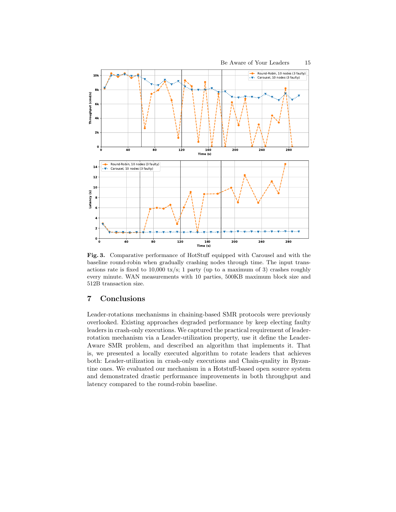

<span id="page-14-0"></span>Fig. 3. Comparative performance of HotStuff equipped with Carousel and with the baseline round-robin when gradually crashing nodes through time. The input transactions rate is fixed to 10,000 tx/s; 1 party (up to a maximum of 3) crashes roughly every minute. WAN measurements with 10 parties, 500KB maximum block size and 512B transaction size.

# 7 Conclusions

Leader-rotations mechanisms in chaining-based SMR protocols were previously overlooked. Existing approaches degraded performance by keep electing faulty leaders in crash-only executions. We captured the practical requirement of leaderrotation mechanism via a Leader-utilization property, use it define the Leader-Aware SMR problem, and described an algorithm that implements it. That is, we presented a locally executed algorithm to rotate leaders that achieves both: Leader-utilization in crash-only executions and Chain-quality in Byzantine ones. We evaluated our mechanism in a Hotstuff-based open source system and demonstrated drastic performance improvements in both throughput and latency compared to the round-robin baseline.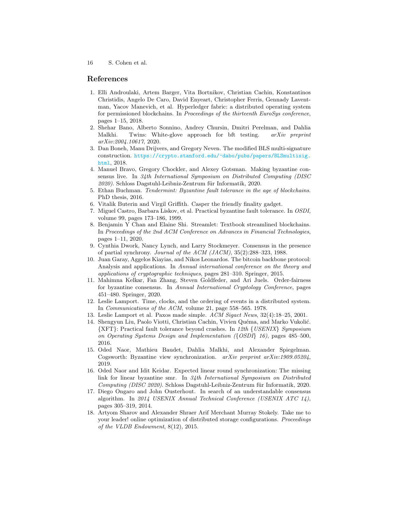# References

- <span id="page-15-7"></span>1. Elli Androulaki, Artem Barger, Vita Bortnikov, Christian Cachin, Konstantinos Christidis, Angelo De Caro, David Enyeart, Christopher Ferris, Gennady Laventman, Yacov Manevich, et al. Hyperledger fabric: a distributed operating system for permissioned blockchains. In Proceedings of the thirteenth EuroSys conference, pages 1–15, 2018.
- <span id="page-15-16"></span>2. Shehar Bano, Alberto Sonnino, Andrey Chursin, Dmitri Perelman, and Dahlia Malkhi. Twins: White-glove approach for bft testing. arXiv preprint arXiv:2004.10617, 2020.
- <span id="page-15-15"></span>3. Dan Boneh, Manu Drijvers, and Gregory Neven. The modified BLS multi-signature construction. [https://crypto.stanford.edu/~dabo/pubs/papers/BLSmultisig.](https://crypto.stanford.edu/~dabo/pubs/papers/BLSmultisig.html) [html](https://crypto.stanford.edu/~dabo/pubs/papers/BLSmultisig.html), 2018.
- <span id="page-15-11"></span>4. Manuel Bravo, Gregory Chockler, and Alexey Gotsman. Making byzantine consensus live. In 34th International Symposium on Distributed Computing (DISC 2020). Schloss Dagstuhl-Leibniz-Zentrum für Informatik, 2020.
- <span id="page-15-0"></span>5. Ethan Buchman. Tendermint: Byzantine fault tolerance in the age of blockchains. PhD thesis, 2016.
- <span id="page-15-1"></span>6. Vitalik Buterin and Virgil Griffith. Casper the friendly finality gadget.
- <span id="page-15-3"></span>7. Miguel Castro, Barbara Liskov, et al. Practical byzantine fault tolerance. In OSDI, volume 99, pages 173–186, 1999.
- <span id="page-15-8"></span>8. Benjamin Y Chan and Elaine Shi. Streamlet: Textbook streamlined blockchains. In Proceedings of the 2nd ACM Conference on Advances in Financial Technologies, pages 1–11, 2020.
- <span id="page-15-14"></span>9. Cynthia Dwork, Nancy Lynch, and Larry Stockmeyer. Consensus in the presence of partial synchrony. Journal of the ACM (JACM), 35(2):288–323, 1988.
- <span id="page-15-9"></span>10. Juan Garay, Aggelos Kiayias, and Nikos Leonardos. The bitcoin backbone protocol: Analysis and applications. In Annual international conference on the theory and applications of cryptographic techniques, pages 281–310. Springer, 2015.
- <span id="page-15-6"></span>11. Mahimna Kelkar, Fan Zhang, Steven Goldfeder, and Ari Juels. Order-fairness for byzantine consensus. In Annual International Cryptology Conference, pages 451–480. Springer, 2020.
- <span id="page-15-2"></span>12. Leslie Lamport. Time, clocks, and the ordering of events in a distributed system. In Communications of the ACM, volume 21, page 558–565. 1978.
- <span id="page-15-4"></span>13. Leslie Lamport et al. Paxos made simple. ACM Sigact News, 32(4):18–25, 2001.
- <span id="page-15-10"></span>14. Shengyun Liu, Paolo Viotti, Christian Cachin, Vivien Quéma, and Marko Vukolić. {XFT}: Practical fault tolerance beyond crashes. In 12th {USENIX} Symposium on Operating Systems Design and Implementation ( $\{OSDI\}$  16), pages 485–500, 2016.
- <span id="page-15-12"></span>15. Oded Naor, Mathieu Baudet, Dahlia Malkhi, and Alexander Spiegelman. Cogsworth: Byzantine view synchronization. arXiv preprint arXiv:1909.05204, 2019.
- <span id="page-15-13"></span>16. Oded Naor and Idit Keidar. Expected linear round synchronization: The missing link for linear byzantine smr. In 34th International Symposium on Distributed Computing (DISC 2020). Schloss Dagstuhl-Leibniz-Zentrum für Informatik, 2020.
- <span id="page-15-5"></span>17. Diego Ongaro and John Ousterhout. In search of an understandable consensus algorithm. In 2014 USENIX Annual Technical Conference (USENIX ATC 14), pages 305–319, 2014.
- <span id="page-15-17"></span>18. Artyom Sharov and Alexander Shraer Arif Merchant Murray Stokely. Take me to your leader! online optimization of distributed storage configurations. Proceedings of the VLDB Endowment, 8(12), 2015.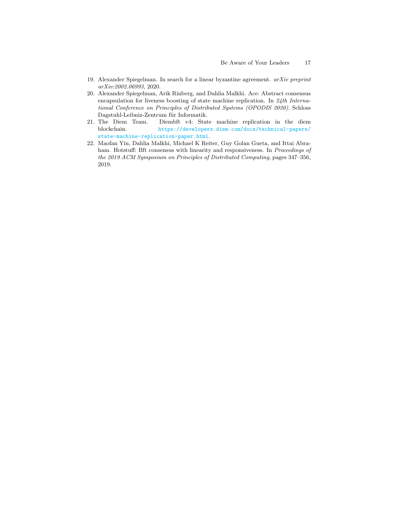- <span id="page-16-3"></span>19. Alexander Spiegelman. In search for a linear byzantine agreement. arXiv preprint arXiv:2002.06993, 2020.
- <span id="page-16-2"></span>20. Alexander Spiegelman, Arik Rinberg, and Dahlia Malkhi. Ace: Abstract consensus encapsulation for liveness boosting of state machine replication. In 24th International Conference on Principles of Distributed Systems (OPODIS 2020). Schloss Dagstuhl-Leibniz-Zentrum für Informatik.
- <span id="page-16-1"></span>21. The Diem Team. Diembft v4: State machine replication in the diem blockchain. [https://developers.diem.com/docs/technical-papers/](https://developers.diem.com/docs/technical-papers/state-machine-replication-paper.html) [state-machine-replication-paper.html](https://developers.diem.com/docs/technical-papers/state-machine-replication-paper.html).
- <span id="page-16-0"></span>22. Maofan Yin, Dahlia Malkhi, Michael K Reiter, Guy Golan Gueta, and Ittai Abraham. Hotstuff: Bft consensus with linearity and responsiveness. In *Proceedings of* the 2019 ACM Symposium on Principles of Distributed Computing, pages 347–356, 2019.